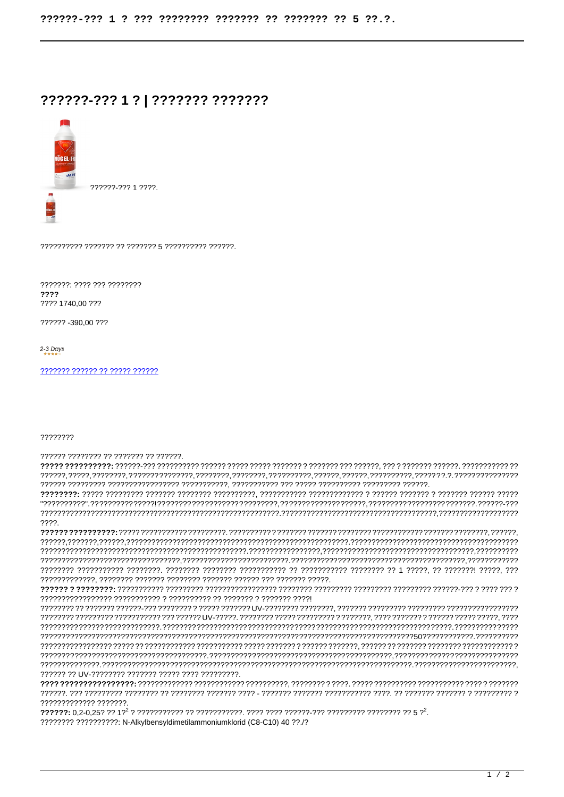## ??????-??? 1 ? | ??????? ???????



???????: ???? ??? ???????? ???? ???? 1740.00 ???

222222-390.00.222

2-3 Days

## 22222222

777777 77777777 77 7777777 77 777777.

 $??\,?\.$ ????????????? ???????

???????? ?????????? N-Alkylbensyldimetilammoniumklorid (C8-C10) 40 ??./?